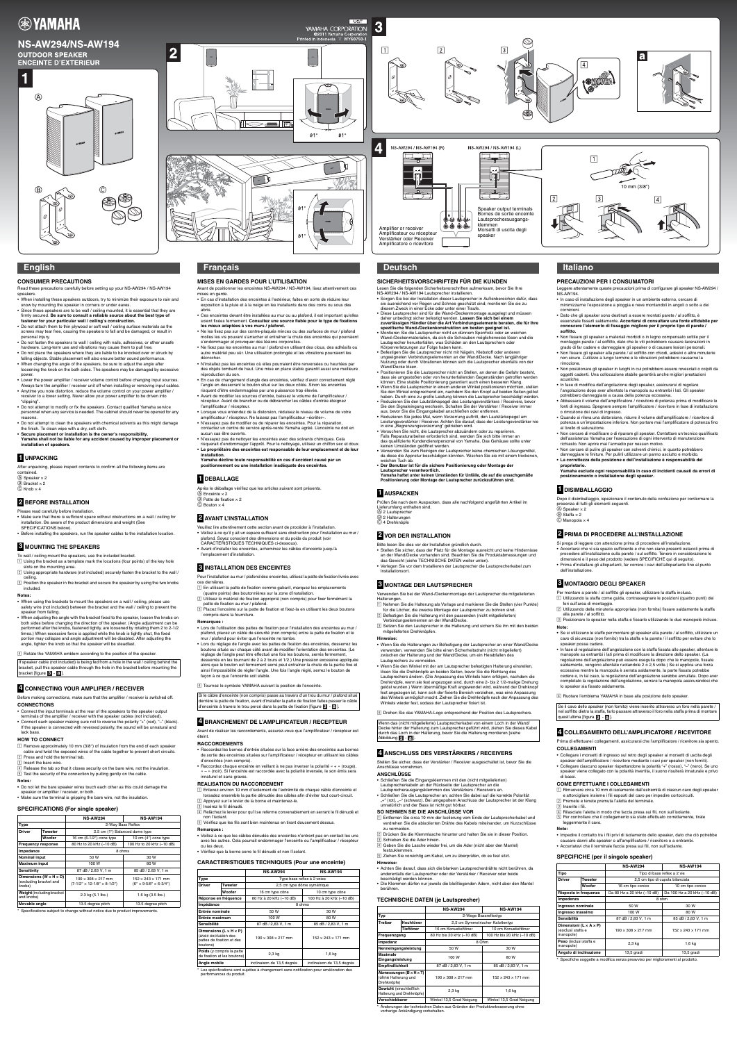**EXAMAHA** 

# **NS-AW294/NS-AW194 OUTDOOR SPEAKER ENCEINTE D'EXTERIEUR**







Speaker output terminals Bornes de sortie enceinte Lautsprecherausgangs-



klemmen

speaker

Morsetti di uscita degli

#### **CONSUMER PRECAUTIONS**

Read these precautions carefully before setting up your NS-AW294 / NS-AW194 speakers.

After unpacking, please inspect contents to confirm all the following items are contained.  $\textcircled{A}$  Speaker  $\times$  2

 $\circ$  Bracket  $\times$  2  $\circled{c}$  Knob  $\times$  4

- When installing these speakers outdoors, try to minimize their exposure to rain and snow by mounting the speaker in corners or under eaves.
- Since these speakers are to be wall / ceiling mounted, it is essential that they are firmly secured. **Be sure to consult a reliable source about the best type of fastener for your particular wall / ceiling's construction.**
- Do not attach them to thin plywood or soft wall / ceiling surface materials as the screws may tear free, causing the speakers to fall and be damaged, or result in personal injury.
- Do not fasten the speakers to wall / ceiling with nails, adhesives, or other unsafe hardware. Long-term use and vibrations may cause them to pull free.
- Do not place the speakers where they are liable to be knocked over or struck by falling objects. Stable placement will also ensure better sound performance.
- When changing the angle of the speakers, be sure to adjust the angle after loosening the knob on the both sides. The speakers may be damaged by excessive power.
- Lower the power amplifier / receiver volume control before changing input sources. Always turn the amplifier / receiver unit off when installing or removing input cables.
- Anytime you note distortion, reduce the volume control on your power amplifier / receiver to a lower setting. Never allow your power amplifier to be driven into "clipping".
- Do not attempt to modify or fix the speakers. Contact qualified Yamaha service personnel when any service is needed. The cabinet should never be opened for any reasons.
- Do not attempt to clean the speakers with chemical solvents as this might damage the finish. To clean wipe with a dry, soft cloth.
- **Secure placement or installation is the owner's responsibility. Yamaha shall not be liable for any accident caused by improper placement or installation of speakers.**

- $\Box$  Using the bracket as a template mark the locations (four points) of the key hole
- slots on the mounting area.  $\boxed{2}$  Using appropriate hardware (not included) securely fasten the bracket to the wall / ceiling.
- 3 Position the speaker in the bracket and secure the speaker by using the two knobs included.

Please read carefully before installation.

If speaker cable (not included) is being fed from a hole in the wall / ceiling behind the bracket, pull this speaker cable through the hole in the bracket before mounting the bracket [figure **3 · a** ].

- Make sure that there is sufficient space without obstructions on a wall / ceiling for installation. Be aware of the product dimensions and weight (See
- SPECIFICATIONS below). • Before installing the speakers, run the speaker cables to the installation location.

#### Before making connections, make sure that the amplifier / receiver is switched off. **CONNECTIONS**

- Connect the input terminals at the rear of the speakers to the speaker output
- terminals of the amplifier / receiver with the speaker cables (not included). • Connect each speaker making sure not to reverse the polarity "+" (red), "–" (black). If the speaker is connected with reversed polarity, the sound will be unnatural and lack bass.

### **HOW TO CONNECT**

- 11 Remove approximately 10 mm (3/8") of insulation from the end of each speaker cable and twist the exposed wires of the cable together to prevent short circuits. 2 Press and hold the terminal tab.
- 3 Insert the bare wire.
- $\boxed{4}$  Release the tab so that it closes security on the bare wire, not the insulation.
- 5 Test the security of the connection by pulling gently on the cable.

#### **SPECIFICATIONS (For single speaker)**

Après le déballage vérifiez que les articles suivant sont présents.  $(A)$  Enceinte  $\times 2$  $\circledR$  Patte de fixation  $\times$  2  $\overline{C}$  Bouton  $\times$  4

# **English**

# **1 UNPACKING**

# **2 BEFORE INSTALLATION**

# **3 MOUNTING THE SPEAKERS**

If are ceiling mount the speakers, use the included bracket.

#### **Notes:**

- When using the brackets to mount the speakers on a wall / ceiling, please use safety wire (not included) between the bracket and the wall / ceiling to prevent the speaker from falling.
- When adjusting the angle with the bracket fixed to the speaker, loosen the knobs on both sides before changing the direction of the speaker. (Angle adjustment can be performed after the knobs, fastened tightly, are loosened by rotating them 2 to 2-1/2 times.) When excessive force is applied while the knob is tightly shut, the fixed portion may collapse and angle adjustment will be disabled. After adjusting the angle, tighten the knob so that the speaker will be steadfast.

[4] Rotate the YAMAHA emblem according to the position of the speaker.

- Raccordez les bornes d'entrée situées sur la face arrière des enceintes aux bornes de sortie des enceintes situées sur l'amplificateur / récepteur en utilisant les câbles d'enceintes (non compris).
- Raccordez chaque enceinte en veillant à ne pas inverser la polarité « + » (rouge), « – » (noir). Si l'enceinte est raccordée avec la polarité inversée, le son émis sera innaturel et sans graves.

- ! Enlevez environ 10 mm d'isolement de l'extrémité de chaque câble d'enceinte et torsadez ensemble la partie dénudée des câbles afin d'éviter tout court-circuit.
- <sup>2</sup> Appuyez sur le levier de la borne et maintenez-le.
- $\sqrt{3}$  Insérez le fil dénudé
- $\boxed{4}$  Relâchez le levier pour qu'il se referme convenablement en serrant le fil dénudé et non l'isolant.
- [5] Vérifiez que les fils sont bien maintenus en tirant doucement dessus

# **4 CONNECTING YOUR AMPLIFIER / RECEIVER**

## **Notes:**

- Do not let the bare speaker wires touch each other as this could damage the speaker or amplifier / receiver, or both
- Make sure the terminal is gripping the bare wire, not the insulation.

|                                                                          |         | <b>NS-AW294</b>                                                           | <b>NS-AW194</b>                                                             |  |
|--------------------------------------------------------------------------|---------|---------------------------------------------------------------------------|-----------------------------------------------------------------------------|--|
| <b>Type</b>                                                              |         | 2-Way Bass Reflex                                                         |                                                                             |  |
| <b>Driver</b>                                                            | Tweeter | 2.5 cm (1") Balanced dome type                                            |                                                                             |  |
|                                                                          | Woofer  | 16 cm (6-1/2") cone type                                                  | 10 cm $(4")$ cone type                                                      |  |
| <b>Frequency response</b>                                                |         | 80 Hz to 20 kHz (-10 dB)                                                  | 100 Hz to 20 kHz (-10 dB)                                                   |  |
| Impedance                                                                |         | 8 ohms                                                                    |                                                                             |  |
| <b>Nominal input</b>                                                     |         | 50 W                                                                      | 30 W                                                                        |  |
| <b>Maximum input</b>                                                     |         | 100W                                                                      | 80 W                                                                        |  |
| Sensitivity                                                              |         | 87 dB / 2.83 V, 1 m                                                       | 85 dB / 2.83 V, 1 m                                                         |  |
| Dimensions (W $\times$ H $\times$ D)<br>(excluding bracket and<br>knobs) |         | $190 \times 308 \times 217$ mm<br>$(7-1/2" \times 12-1/8" \times 8-1/2")$ | $152 \times 243 \times 171$ mm<br>$(6'' \times 9 - 5/8'' \times 6 - 3/4'')$ |  |
| Weight (including bracket<br>and knobs)                                  |         | 2.3 kg (5.1 lbs.)                                                         | 1.6 kg (3.5 lbs.)                                                           |  |
| Movable angle                                                            |         | 13.5 degree pitch                                                         | 13.5 degree pitch                                                           |  |

Specifications subject to change without notice due to product improvements.

Si le câble d'enceinte (non compris) passe au travers d'un trou du mur / plafond situé derrière la patte de fixation, avant d'installer la patte de fixation faites passer le câble d'enceinte à travers le trou percé dans la patte de fixation [figure 3 - a ].

## **MISES EN GARDES POUR L'UTILISATION**

- Avant de positionner les enceintes NS-AW294 / NS-AW194, lisez attentivement ces mises en garde.
- En cas d'installation des enceintes à l'extérieur, faites en sorte de réduire leur exposition à la pluie et à la neige en les installants dans des coins ou sous des abris.
- Ces enceintes devant être installées au mur ou au plafond, il est important qu'elles soient fixées fermement. **Consultez une source fiable pour le type de fixations les mieux adaptées à vos murs / plafond.**
- Ne les fixez pas sur des contre-plaqués minces ou des surfaces de mur / plafond molles les vis pouvant s'arracher et entraîner la chute des enceintes qui pourraient s'endommager et provoquer des lésions corporelles.
- Ne fixez pas les enceintes au mur / plafond en utilisant des clous, des adhésifs ou autre matériel peu sûr. Une utilisation prolongée et les vibrations pourraient les décrocher.
- N'installez pas les enceintes où elles pourraient être renversées ou heurtées par des objets tombant de haut. Une mise en place stable garantit aussi une meilleure réproduction du son.
- En cas de changement d'angle des enceintes, vérifiez d'avoir correctement réglé l'angle en desserrant le bouton situé sur les deux côtés. Sinon les enceintes risquent d'être endommagées par une puissance trop élevée.
- Avant de modifier les sources d'entrée, baissez le volume de l'amplificateur / récepteur. Avant de brancher ou de débrancher les câbles d'entrée éteignez l'amplificateur / récepteur.
- Lorsque vous entendez de la distorsion, réduisez le niveau de volume de votre amplificateur / récepteur. Ne laissez pas l'amplificateur «écrêter».
- N'essayez pas de modifier ou de réparer les enceintes. Pour la réparation, contactez un centre de service après-vente Yamaha agréé. L'enceinte ne doit en aucun cas être ouverte.
- N'essayez pas de nettoyer les enceintes avec des solvants chimiques. Cela risquerait d'endommager l'apprêt. Pour le nettoyage, utilisez un chiffon sec et doux.
- **Le propriétaire des enceintes est responsable de leur emplacement et de leur installation. Yamaha décline toute responsabilité en cas d'accident causé par un**
- **positionnement ou une installation inadéquate des enceintes.**

Bitte lesen Sie dies vor der Installation gründlich durch. • Stellen Sie sicher, dass der Platz für die Montage ausreicht und keine Hindernisse an der Wand/Decke vorhanden sind. Beachten Sie die Produkta

Veuillez lire attentivement cette section avant de procéder à l'installation. • Veillez à ce qu'il y ait un espace suffisant sans obstruction pour l'installation au mur / plafond. Soyez conscient des dimensions et du poids du produit (voir CARACTERISTIQUES TECHNIQUES ci-dessous).

- verdrehen Sie die abisolierten Drähte des Kabels miteinander, um Kurzschlüsse zu vermeiden. <sup>[2]</sup> Drücken Sie die Klemmlasche hinunter und halten Sie sie in dieser Position.
- **3 Schieben Sie die Ader hinein.**
- <sup>4</sup> Geben Sie die Lasche wieder frei, um die Ader (nicht aber den Mantel) festzuklemmen.
- [5] Ziehen Sie vorsichtig am Kabel, um zu überprüfen, ob es fest sitzt.

• Avant d'installer les enceintes, acheminez les câbles d'enceinte jusqu'à l'emplacement d'installation.

- Pour l'installation au mur / plafond des enceintes, utilisez la patte de fixation livrée avec ces dernières.
- $\boxed{1}$  En utilisant la patte de fixation comme gabarit, marquez les emplacements (quatre points) des boutonnières sur la zone d'installation.
- <sup>2</sup> Utilisez le matériel de fixation approprié (non compris) pour fixer fermément la patte de fixation au mur / plafond.
- <sup>3</sup> Placez l'enceinte sur la patte de fixation et fixez-la en utilisant les deux boutons compris dans la fourniture.

Wenn das (nicht mitgelieferte) Lautsprecherkabel von einem Loch in der Wand/ Decke hinter der Halterung zum Lautsprecher geführt wird, ziehen Sie dieses Kabel durch das Loch in der Halterung, bevor Sie die Halterung montieren [siehe **Abbildung 3 - a** ].

Avant de réaliser les raccordements, assurez-vous que l'amplificateur / récepteur est éteint.

#### **RACCORDEMENTS**

#### **REALISATION DU RACCORDEMENT**

#### **CARACTERISTIQUES TECHNIQUES (Pour une enceinte)**

\* Les spécifications sont sujettes à changement sans notification pour amélioration des performances du produit.

# **Français**

## **1 DEBALLAGE**

## **2 AVANT L'INSTALLATION**

# **3 INSTALLATION DES ENCEINTES**

#### **Remarques :**

- Lors de l'utilisation des pattes de fixation pour l'installation des enceintes au mur / plafond, placez un câble de sécurité (non compris) entre la patte de fixation et le mur / plafond pour éviter que l'enceinte ne tombe.
- Lors du réglage de l'angle avec les pattes de fixation des enceintes, desserrez les boutons situés sur chaque côté avant de modifier l'orientation des enceintes. (Le réglage de l'angle peut être effectué une fois les boutons, serrés fermement, desserrés en les tournant de 2 à 2 tours et 1/2.) Une pression excessive appliquée
- alors que le bouton est fermement serré peut entraîner la chute de la partie fixe et ainsi l'impossibilité de régler l'angle. Une fois l'angle réglé, serrez le bouton de façon à ce que l'enceinte soit stable.

 $\boxed{4}$  Tournez le symbole YAMAHA suivant la position de l'enceinte.

Dopo il disimballaggio, ispezionare il contenuto della confezione per confermare la presenza di tutti gli elementi seguenti.  $(A)$  Speaker  $\times$  2  $(B)$  Staffa  $\times$  2

 $\circledcirc$  Manopola  $\times$  4

- $\Box$  Utilizzando la staffa come quida, contrassegnare le posizioni (quattro punti) dei fori sull'area di montaggio.
- $\boxed{2}$  Utilizzando della minuteria appropriata (non fornita) fissare saldamente la staffa alla parete / al soffitto.

# **4 BRANCHEMENT DE L'AMPLIFICATEUR / RECEPTEUR**

## **Remarques :**

- Veillez à ce que les câbles dénudés des enceintes n'entrent pas en contact les uns avec les autres. Cela pourrait endommager l'enceinte ou l'amplificateur / récepteur ou les deux.
- Vérifiez que la borne serre le fil dénudé et non l'isolant.

3 Posizionare lo speaker nella staffa e fissarlo utilizzando le due manopole incluse. **Note:**

- Se si utilizzano le staffe per montare gli speaker alla parete / al soffitto, utilizzare un cavo di sicurezza (non fornito) tra la staffa e la parete / il soffitto per evitare che lo speaker possa cadere.
- In fase di regolazione dell'angolazione con la staffa fissata allo speaker, allentare le manopole su entrambi i lati prima di modificare la direzione dello speaker. (La regolazione dell'angolazione può essere eseguita dopo che le manopole, fissate saldamente, vengono allentate ruotandole 2 o 2,5 volte.) Se si applica una forza eccessiva mentre la manopola è serrata saldamente, la parte fissata potrebbe cedere e, in tal caso, la regolazione dell'angolazione sarebbe annullata. Dopo aver completato la regolazione dell'angolazione, serrare la manopola assicurandosi che lo speaker sia fissato saldamente

4 Ruotare l'emblema YAMAHA in base alla posizione dello speaker.

|                                                                                                      |         | <b>NS-AW294</b>                | <b>NS-AW194</b>                |  |
|------------------------------------------------------------------------------------------------------|---------|--------------------------------|--------------------------------|--|
| <b>Type</b>                                                                                          |         | Type bass reflex à 2 voies     |                                |  |
| <b>Driver</b>                                                                                        | Tweeter | 2,5 cm type dôme symétrique    |                                |  |
|                                                                                                      | Woofer  | 16 cm type cône                | 10 cm type cône                |  |
| Réponse en fréquence                                                                                 |         | 80 Hz à 20 kHz (-10 dB)        | 100 Hz à 20 kHz (-10 dB)       |  |
| Impédance                                                                                            |         | 8 ohms                         |                                |  |
| Entrée nominale                                                                                      |         | 50 W                           | 30 W                           |  |
| Entrée maximum                                                                                       |         | 100 W                          | 80 W                           |  |
| Sensibilité                                                                                          |         | 87 dB / 2,83 V, 1 m            | 85 dB / 2,83 V, 1 m            |  |
| Dimensions ( $L \times H \times P$ )<br>(avec exclusion des<br>pattes de fixation et des<br>boutons) |         | $190 \times 308 \times 217$ mm | $152 \times 243 \times 171$ mm |  |
| Poids (y compris la patte<br>de fixation et les boutons)                                             |         | $2,3$ kg                       | $1,6$ kg                       |  |
| Angle mobile                                                                                         |         | inclinaison de 13,5 degrés     | inclinaison de 13,5 degrés     |  |

## **SICHERHEITSVORSCHRIFTEN FÜR DIE KUNDEN**

Se il cavo dello speaker (non fornito) viene inserito attraverso un foro nella parete / nel soffitto dietro la staffa, farlo passare attraverso il foro nella staffa prima di montare quest'ultima [figura **3 · a** ].

Lesen Sie die folgenden Sicherheitsvorschriften aufmerksam, bevor Sie Ihre NS-AW294 / NS-AW194 Lautsprecher installieren.

ded ded  $\bullet\bullet\bullet\bullet$ 

- Sorgen Sie bei der Installation dieser Lautsprecher in Außenbereichen dafür, dass sie ausreichend vor Regen und Schnee geschützt sind; montieren Sie sie zu diesem Zweck in einer Ecke oder unter einer Traufe.
- Diese Lautsprecher sind für die Wand-/Deckenmontage ausgelegt und müssen daher unbedingt sicher befestigt werden. **Lassen Sie sich bei einem zuverlässigen Händler über die Art Verbindungselemente beraten, die für Ihre**

#### **spezifische Wand-/Deckenkonstruktion am besten geeignet ist.** • Montieren Sie die Lautsprecher nicht an dünnem Sperrholz oder an weichen

- Wand-/Deckenmaterialien, da sich die Schrauben möglicherweise lösen und die Lautsprecher herunterfallen, was Schäden an den Lautsprechern oder Körperverletzungen zur Folge haben kann.
- Befestigen Sie die Lautsprecher nicht mit Nägeln, Klebstoff oder anderen ungeeigneten Verbindungselementen an der Wand/Decke. Nach langjähriger Nutzung oder durch Vibrationen können sich die Lautsprecher ebenfalls von der Wand/Decke lösen.
- Positionieren Sie die Lautsprecher nicht an Stellen, an denen die Gefahr besteht, dass sie umgestoßen oder von herunterfallenden Gegenständen getroffen werden können. Eine stabile Positionierung garantiert auch einen besseren Klang.
- Wenn Sie die Lautsprecher in einem anderen Winkel positionieren möchten, stellen Sie den Winkel entsprechend ein, nachdem Sie den Knopf auf beiden Seiten gelöst haben. Durch eine zu große Leistung können die Lautsprecher beschädigt werden. • Reduzieren Sie den Lautstärkepegel des Leistungsverstärkers / Receivers, bevor Sie den Signaleingang wechseln. Schalten Sie der Verstärker / Receiver immer
- aus, bevor Sie die Eingangskabel anschließen oder entfernen. • Reduzieren Sie jedes Mal, wenn Verzerrung auftritt, den Lautstärkepegel am Leistungsverstärker / Receiver. Achten Sie darauf, dass der Leistungsverstärker nie
- in eine "Begrenzungsverzerrung" getrieben wird. • Versuchen Sie nicht, die Lautsprecher abzuändern oder zu reparieren. Falls Reparaturarbeiten erforderlich sind, wenden Sie sich bitte immer an
- das qualifizierte Kundendienstpersonal von Yamaha. Das Gehäuse sollte unter keinen Umständen geöffnet werden. • Verwenden Sie zum Reinigen der Lautsprecher keine chemischen Lösungsmittel,
- da diese die Appretur beschädigen könnten. Wischen Sie sie mit einem trockenen, weichen Tuch ab.
- **Der Benutzer ist für die sichere Positionierung oder Montage der**
- **Lautsprecher verantwortlich. Yamaha haftet unter keinen Umständen für Unfälle, die auf die unsachgemäße Positionierung oder Montage der Lautsprecher zurückzuführen sind.**

Prüfen Sie nach dem Auspacken, dass alle nachfolgend angeführten Artikel im Lieferumfang enthalten sind. A 2 Lautsprecher B 2 Halterungen C 4 Drehknöpfe

das Gewicht (siehe TECHNISCHE DATEN weiter unten).

• Verlegen Sie vor dem Installieren der Lautsprecher die Lautsprecherkabel zum Installationsort.

Verwenden Sie bei der Wand-/Deckenmontage der Lautsprecher die mitgelieferten Halterungen.

- ! Nehmen Sie die Halterung als Vorlage und markieren Sie die Stellen (vier Punkte) für die Löcher, die zwecks Montage der Lautsprecher zu bohren sind.
- <sup>2</sup> Befestigen Sie die Halterung mit den passenden (nicht mitgelieferten) Verbindungselementen an der Wand/Decke.
- 3 Setzen Sie den Lautsprecher in die Halterung und sichern Sie ihn mit den beiden mitgelieferten Drehknöpfen.

Stellen Sie sicher, dass der Verstärker / Receiver ausgeschaltet ist, bevor Sie die Anschlüsse vornehmen.

#### **ANSCHLÜSSE**

- Schließen Sie die Eingangsklemmen mit den (nicht mitgelieferten) Lautsprecherkabeln an der Rückseite der Lautsprecher an die
- Lautsprecherausgangsklemmen des Verstärkers / Receivers an.
- Schließen Sie die Lautsprecher an; achten Sie dabei auf die korrekte Polarität<br>"+" (rot), "–" (schwarz). Bei umgepoltem Anschluss der Lautsprecher ist der Klang
- unnatürlich und der Bass ist nicht gut hörbar.

#### **SO NEHMEN SIE DIE ANSCHLÜSSE VOR** ! Entfernen Sie circa 10 mm der Isolierung vom Ende der Lautsprecherkabel und

#### **TECHNISCHE DATEN (je Lautsprecher)**

\* Änderungen der technischen Daten aus Gründen der Produktverbesserung ohne vorherige Ankündigung vorbehalten.

# **Deutsch**

# **1 AUSPACKEN**

# **2 VOR DER INSTALLATION**

# **3 MONTAGE DER LAUTSPRECHER**

#### **Hinweise:**

- Wenn Sie die Halterungen zur Befestigung der Lautsprecher an einer Wand/Decke verwenden, verwenden Sie bitte einen Sicherheitsdraht (nicht mitgeliefert) zwischen der Halterung und der Wand/Decke, um ein Herabfallen des Lautsprechers zu vermeiden.
- Wenn Sie den Winkel mit der am Lautsprecher befestigten Halterung einstellen, lösen Sie die Drehknöpfe an beiden Seiten, bevor Sie die Richtung des Lautsprechers ändern. (Die Anpassung des Winkels kann erfolgen, nachdem die Drehknöpfe, wenn sie fest angezogen sind, durch eine 2- bis 2 1/2-malige Drehung gelöst wurden.) Wenn übermäßige Kraft angewendet wird, während der Drehknopf fest angezogen ist, kann sich der fixierte Bereich verziehen, was eine Anpassung des Winkels unmöglich macht. Ziehen Sie die Drehknöpfe nach der Anpassung des Winkels wieder fest, sodass der Lautsprecher fixiert ist.

<sup>4</sup> Drehen Sie das YAMAHA-Logo entsprechend der Position des Lautsprechers.

# **4 ANSCHLUSS DES VERSTÄRKERS / RECEIVERS**

#### **Hinweise:**

- Achten Sie darauf, dass sich die blanken Lautsprecherdrähte nicht berühren, da anderenfalls der Lautsprecher oder der Verstärker / Receiver oder beide beschädigt werden können.
- Die Klemmen dürfen nur jeweils die bloßliegenden Adern, nicht aber den Mantel berühren.

|                                                                             |           | <b>NS-AW294</b>                  | <b>NS-AW194</b>                |  |
|-----------------------------------------------------------------------------|-----------|----------------------------------|--------------------------------|--|
| Typ                                                                         |           | 2-Wege Bassreflextyp             |                                |  |
| Hochtöner<br><b>Treiber</b>                                                 |           | 2,5 cm Symmetrischer Kalottentyp |                                |  |
|                                                                             | Tieftöner | 16 cm Konustieftöner             | 10 cm Konustieftöner           |  |
| Frequenzgang                                                                |           | 80 Hz bis 20 kHz (-10 dB)        | 100 Hz bis 20 kHz (-10 dB)     |  |
| Impedanz                                                                    |           | 8 Ohm                            |                                |  |
| Nenneingangsleistung                                                        |           | 50 W                             | 30 W                           |  |
| <b>Maximale</b><br>Eingangsleistung                                         |           | 100 W                            | 80 W                           |  |
| Empfindlichkeit                                                             |           | 87 dB / 2,83 V, 1 m              | 85 dB / 2,83 V, 1 m            |  |
| Abmessungen ( $B \times H \times T$ )<br>(ohne Halterung und<br>Drehknöpfe) |           | $190 \times 308 \times 217$ mm   | $152 \times 243 \times 171$ mm |  |
| Gewicht (einschließlich<br>Halterung und Drehknöpfe)                        |           | 2,3 kg                           | 1,6 kg                         |  |
| Verschiebbarer                                                              |           | Winkel 13,5 Grad Neigung         | Winkel 13,5 Grad Neigung       |  |

#### **PRECAUZIONI PER I CONSUMATORI**

- Leggere attentamente queste precauzioni prima di configurare gli speaker NS-AW294 / NS-AW194.
- In caso di installazione degli speaker in un ambiente esterno, cercare di minimizzarne l'esposizione a pioggia e neve montandoli in angoli o sotto a dei cornicioni.
- Dato che gli speaker sono destinati a essere montati parete / al soffitto, è essenziale fissarli saldamente. **Accertarsi di consultare una fonte affidabile per conoscere l'elemento di fissaggio migliore per il proprio tipo di parete / soffitto.**
- Non fissare gli speaker a materiali morbidi o in legno compensato sottile per il montaggio parete / al soffitto, dato che le viti potrebbero causare lacerazioni in grado di far cadere e danneggiare gli speaker o di causare lesioni personali.
- Non fissare gli speaker alla parete / al soffitto con chiodi, adesivi o altre minuterie non sicure. L'utilizzo a lungo termine e le vibrazioni potrebbero causarne la rimozione.
- Non posizionare gli speaker in luoghi in cui potrebbero essere rovesciati o colpiti da oggetti cadenti. Una collocazione stabile garantirà anche migliori prestazioni acustiche.
- In fase di modifica dell'angolazione degli speaker, assicurarsi di regolare l'angolazione dopo aver allentato la manopola su entrambi i lati. Gli speaker potrebbero danneggiarsi a causa della potenza eccessiva.
- Abbassare il volume dell'amplificatore / ricevitore di potenza prima di modificare le fonti di ingresso. Spegnere sempre l'amplificatore / ricevitore in fase di installazione o rimozione dei cavi di ingresso.
- Quando si rileva una distorsione, ridurre il volume dell'amplificatore / ricevitore di potenza a un'impostazione inferiore. Non portare mai l'amplificatore di potenza fino al livello di saturazione.
- Non cercare di modificare o di riparare gli speaker. Contattare un tecnico qualificato dell'assistenza Yamaha per l'esecuzione di ogni intervento di manutenzione richiesto. Non aprire mai l'armadio per nessun motivo.
- Non cercare di pulire gli speaker con solventi chimici, in quanto potrebbero
- danneggiare le finiture. Per pulirli utilizzare un panno asciutto e morbido. **• La correttezza della posizione e dell'installazione è responsabilità del**
- **proprietario. Yamaha esclude ogni responsabilità in caso di incidenti causati da errori di posizionamento o installazione degli speaker.**

Si prega di leggere con attenzione prima di procedere all'installazione. • Accertarsi che vi sia spazio sufficiente e che non siano presenti ostacoli prima di procedere all'installazione sulla parete / sul soffitto. Tenere in considerazione le

dimensioni e il peso del prodotto (vedere SPECIFICHE qui di seguito). • Prima d'installare gli altoparlanti, far correre i cavi dell'altoparlante fino al punto dell'installazione.

Per montare a parete / al soffitto gli speaker, utilizzare la staffa inclusa.

Prima di effettuare i collegamenti, assicurarsi che l'amplificatore / ricevitore sia spento. **COLLEGAMENTI**

- Collegare i morsetti di ingresso sul retro degli speaker ai morsetti di uscita degli speaker dell'amplificatore / ricevitore mediante i cavi per speaker (non forniti).
- Collegare ciascuno speaker rispettandone la polarità "+" (rosso), "–" (nero). Se uno speaker viene collegato con la polarità invertita, il suono risulterà innaturale e privo di bassi.

#### **COME EFFETTUARE I COLLEGAMENTI**

! Rimuovere circa 10 mm di isolamento dall'estremità di ciascun cavo degli speaker e attorcigliare insieme i fili esposti del cavo per impedire cortocircuiti.

leggermente il cavo.

**SPECIFICHE (per il singolo speaker)**

**3** Inserite i fili

\* Specifiche soggette a modifica senza preavviso per miglioramenti al prodotto.

manopole) 2,3 kg 1,6 kg **Angolo di inclinazione** 13,5 gradi 13,5 gradi 13,5 gradi

[2] Premete e tenete premuta l'aletta del terminale.

# **Italiano**

# **1 DISIMBALLAGGIO**

# **2 PRIMA DI PROCEDERE ALL'INSTALLAZIONE**

# **3 MONTAGGIO DEGLI SPEAKER**

# **4 COLLEGAMENTO DELL'AMPLIFICATORE / RICEVITORE**

**Note:**

<sup>4</sup> Rilasciate l'aletta in modo che faccia presa sui fili, non sull'isolante.

**Tipo** Tipo di bass reflex a 2 vie **Driver Tweeter** 2,5 cm tipo di cupola bilanciata

**Ingresso nominale** 50 W 30 W **Ingresso massimo** 100 W 80 W **Sensibilità** 87 dB / 2,83 V, 1 m 85 dB / 2,83 V, 1 m

**Impedenza** 8 ohm

• Impedire il contatto tra i fili privi di isolamento dello speaker, dato che ciò potrebbe causare danni allo speaker o all'amplificatore / ricevitore o a entrambi. • Accertatevi che il terminale faccia presa sui fili, non sull'isolante.

Woofer
16 cm tipo conico
10 cm tipo conico **Risposta in frequenza** | Da 80 Hz a 20 kHz (-10 dB) | Da 100 Hz a 20 kHz (-10 dB)

**NS-AW294 NS-AW194**

 $190 \times 308 \times 217$  mm 152 × 243 × 171 mm

<sup>5</sup> Per controllare che il collegamento sia stato effettuato correttamente, tirate

**Dimensioni (L × A × P)** (esclusi staffa e manopole)

**Peso** (inclusi staffa e